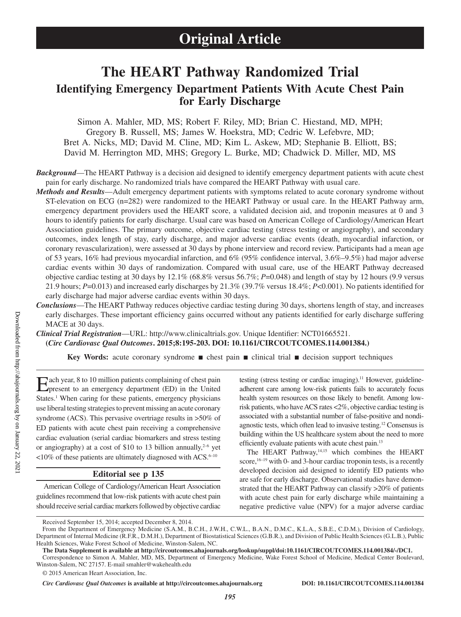# **The HEART Pathway Randomized Trial Identifying Emergency Department Patients With Acute Chest Pain for Early Discharge**

Simon A. Mahler, MD, MS; Robert F. Riley, MD; Brian C. Hiestand, MD, MPH; Gregory B. Russell, MS; James W. Hoekstra, MD; Cedric W. Lefebvre, MD; Bret A. Nicks, MD; David M. Cline, MD; Kim L. Askew, MD; Stephanie B. Elliott, BS; David M. Herrington MD, MHS; Gregory L. Burke, MD; Chadwick D. Miller, MD, MS

*Background*—The HEART Pathway is a decision aid designed to identify emergency department patients with acute chest pain for early discharge. No randomized trials have compared the HEART Pathway with usual care.

*Methods and Results*—Adult emergency department patients with symptoms related to acute coronary syndrome without ST-elevation on ECG (n=282) were randomized to the HEART Pathway or usual care. In the HEART Pathway arm, emergency department providers used the HEART score, a validated decision aid, and troponin measures at 0 and 3 hours to identify patients for early discharge. Usual care was based on American College of Cardiology/American Heart Association guidelines. The primary outcome, objective cardiac testing (stress testing or angiography), and secondary outcomes, index length of stay, early discharge, and major adverse cardiac events (death, myocardial infarction, or coronary revascularization), were assessed at 30 days by phone interview and record review. Participants had a mean age of 53 years, 16% had previous myocardial infarction, and 6% (95% confidence interval, 3.6%–9.5%) had major adverse cardiac events within 30 days of randomization. Compared with usual care, use of the HEART Pathway decreased objective cardiac testing at 30 days by 12.1% (68.8% versus 56.7%; *P*=0.048) and length of stay by 12 hours (9.9 versus 21.9 hours; *P*=0.013) and increased early discharges by 21.3% (39.7% versus 18.4%; *P*<0.001). No patients identified for early discharge had major adverse cardiac events within 30 days.

*Conclusions*—The HEART Pathway reduces objective cardiac testing during 30 days, shortens length of stay, and increases early discharges. These important efficiency gains occurred without any patients identified for early discharge suffering MACE at 30 days.

*Clinical Trial Registration*—URL: <http://www.clinicaltrials.gov>. Unique Identifier: NCT01665521. **(***Circ Cardiovasc Qual Outcomes***. 2015;8:195-203. DOI: 10.1161/CIRCOUTCOMES.114.001384.)**

**Key Words:** acute coronary syndrome ■ chest pain ■ clinical trial ■ decision support techniques

Each year, 8 to 10 million patients complaining of chest pain present to an emergency department (ED) in the United States.<sup>1</sup> When caring for these patients, emergency physicians use liberal testing strategies to prevent missing an acute coronary syndrome (ACS). This pervasive overtriage results in >50% of ED patients with acute chest pain receiving a comprehensive cardiac evaluation (serial cardiac biomarkers and stress testing or angiography) at a cost of \$10 to 13 billion annually,<sup>2-6</sup> yet  $10\%$  of these patients are ultimately diagnosed with ACS.<sup>6–10</sup>

# **Editorial see p 135**

American College of Cardiology/American Heart Association guidelines recommend that low-risk patients with acute chest pain should receive serial cardiac markers followed by objective cardiac

testing (stress testing or cardiac imaging).<sup>11</sup> However, guidelineadherent care among low-risk patients fails to accurately focus health system resources on those likely to benefit. Among lowrisk patients, who have ACS rates <2%, objective cardiac testing is associated with a substantial number of false-positive and nondiagnostic tests, which often lead to invasive testing.12 Consensus is building within the US healthcare system about the need to more efficiently evaluate patients with acute chest pain.<sup>13</sup>

The HEART Pathway,<sup>14,15</sup> which combines the HEART score,<sup>16–19</sup> with 0- and 3-hour cardiac troponin tests, is a recently developed decision aid designed to identify ED patients who are safe for early discharge. Observational studies have demonstrated that the HEART Pathway can classify >20% of patients with acute chest pain for early discharge while maintaining a negative predictive value (NPV) for a major adverse cardiac

© 2015 American Heart Association, Inc.

Received September 15, 2014; accepted December 8, 2014.

From the Department of Emergency Medicine (S.A.M., B.C.H., J.W.H., C.W.L., B.A.N., D.M.C., K.L.A., S.B.E., C.D.M.), Division of Cardiology, Department of Internal Medicine (R.F.R., D.M.H.), Department of Biostatistical Sciences (G.B.R.), and Division of Public Health Sciences (G.L.B.), Public Health Sciences, Wake Forest School of Medicine, Winston-Salem, NC.

**The Data Supplement is available at [http://circoutcomes.ahajournals.org/lookup/suppl/doi:10.1161/CIRCOUTCOMES.114.001384/-/DC1.](http://circoutcomes.ahajournals.org/lookup/suppl/doi:10.1161/CIRCOUTCOMES.114.001384/-/DC1)**

Correspondence to Simon A. Mahler, MD, MS, Department of Emergency Medicine, Wake Forest School of Medicine, Medical Center Boulevard, Winston-Salem, NC 27157. E-mail [smahler@wakehealth.edu](mailto:smahler@wakehealth.edu)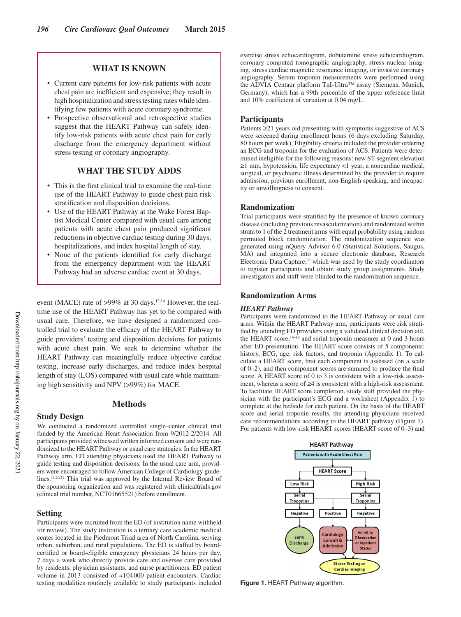# **WHAT IS KNOWN**

- • Current care patterns for low-risk patients with acute chest pain are inefficient and expensive; they result in high hospitalization and stress testing rates while identifying few patients with acute coronary syndrome.
- Prospective observational and retrospective studies suggest that the HEART Pathway can safely identify low-risk patients with acute chest pain for early discharge from the emergency department without stress testing or coronary angiography.

# **WHAT THE STUDY ADDS**

- This is the first clinical trial to examine the real-time use of the HEART Pathway to guide chest pain risk stratification and disposition decisions.
- Use of the HEART Pathway at the Wake Forest Baptist Medical Center compared with usual care among patients with acute chest pain produced significant reductions in objective cardiac testing during 30 days, hospitalizations, and index hospital length of stay.
- None of the patients identified for early discharge from the emergency department with the HEART Pathway had an adverse cardiac event at 30 days.

event (MACE) rate of >99% at 30 days.<sup>13,14</sup> However, the realtime use of the HEART Pathway has yet to be compared with usual care. Therefore, we have designed a randomized controlled trial to evaluate the efficacy of the HEART Pathway to guide providers' testing and disposition decisions for patients with acute chest pain. We seek to determine whether the HEART Pathway can meaningfully reduce objective cardiac testing, increase early discharges, and reduce index hospital length of stay (LOS) compared with usual care while maintaining high sensitivity and NPV (>99%) for MACE.

# **Methods**

## **Study Design**

We conducted a randomized controlled single–center clinical trial funded by the American Heart Association from 9/2012-2/2014. All participants provided witnessed written informed consent and were randomized to the HEART Pathway or usual care strategies. In the HEART Pathway arm, ED attending physicians used the HEART Pathway to guide testing and disposition decisions. In the usual care arm, providers were encouraged to follow American College of Cardiology guidelines.11,20,21 This trial was approved by the Internal Review Board of the sponsoring organization and was registered with clinicaltrials.gov (clinical trial number, NCT01665521) before enrollment.

#### **Setting**

Participants were recruited from the ED (of institution name withheld for review). The study institution is a tertiary care academic medical center located in the Piedmont Triad area of North Carolina, serving urban, suburban, and rural populations. The ED is staffed by boardcertified or board-eligible emergency physicians 24 hours per day, 7 days a week who directly provide care and oversee care provided by residents, physician assistants, and nurse practitioners. ED patient volume in 2013 consisted of ≈104000 patient encounters. Cardiac testing modalities routinely available to study participants included exercise stress echocardiogram, dobutamine stress echocardiogram, coronary computed tomographic angiography, stress nuclear imaging, stress cardiac magnetic resonance imaging, or invasive coronary angiography. Serum troponin measurements were performed using the ADVIA Centaur platform TnI-Ultra™ assay (Siemens, Munich, Germany), which has a 99th percentile of the upper reference limit and 10% coefficient of variation at 0.04 mg/L.

## **Participants**

Patients ≥21 years old presenting with symptoms suggestive of ACS were screened during enrollment hours (6 days excluding Saturday, 80 hours per week). Eligibility criteria included the provider ordering an ECG and troponin for the evaluation of ACS. Patients were determined ineligible for the following reasons: new ST-segment elevation ≥1 mm, hypotension, life expectancy <1 year, a noncardiac medical, surgical, or psychiatric illness determined by the provider to require admission, previous enrollment, non-English speaking, and incapacity or unwillingness to consent.

#### **Randomization**

Trial participants were stratified by the presence of known coronary disease (including previous revascularization) and randomized within strata to 1 of the 2 treatment arms with equal probability using random permuted block randomization. The randomization sequence was generated using nQuery Advisor 6.0 (Statistical Solutions, Saugus, MA) and integrated into a secure electronic database, Research Electronic Data Capture,<sup>22</sup> which was used by the study coordinators to register participants and obtain study group assignments. Study investigators and staff were blinded to the randomization sequence.

## **Randomization Arms**

#### *HEART Pathway*

Participants were randomized to the HEART Pathway or usual care arms. Within the HEART Pathway arm, participants were risk stratified by attending ED providers using a validated clinical decision aid, the HEART score,<sup>16-19</sup> and serial troponin measures at 0 and 3 hours after ED presentation. The HEART score consists of 5 components: history, ECG, age, risk factors, and troponin (Appendix 1). To calculate a HEART score, first each component is assessed (on a scale of 0–2), and then component scores are summed to produce the final score. A HEART score of 0 to 3 is consistent with a low-risk assessment, whereas a score of ≥4 is consistent with a high-risk assessment. To facilitate HEART score completion, study staff provided the physician with the participant's ECG and a worksheet (Appendix 1) to complete at the bedside for each patient. On the basis of the HEART score and serial troponin results, the attending physicians received care recommendations according to the HEART pathway (Figure 1). For patients with low-risk HEART scores (HEART score of 0–3) and



**Figure 1.** HEART Pathway algorithm.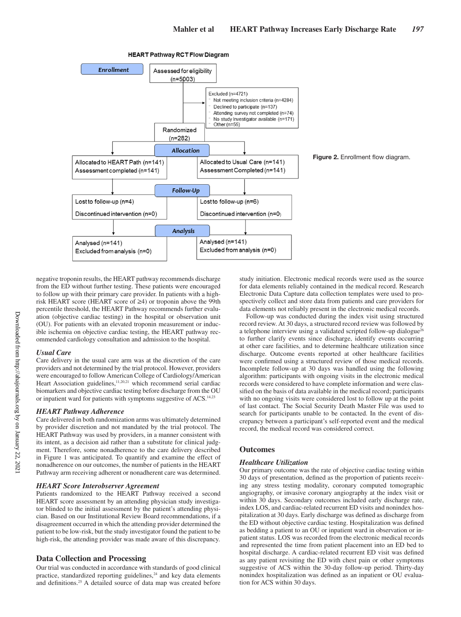

#### **HEART Pathway RCT Flow Diagram**



negative troponin results, the HEART pathway recommends discharge from the ED without further testing. These patients were encouraged to follow up with their primary care provider. In patients with a highrisk HEART score (HEART score of ≥4) or troponin above the 99th percentile threshold, the HEART Pathway recommends further evaluation (objective cardiac testing) in the hospital or observation unit (OU). For patients with an elevated troponin measurement or inducible ischemia on objective cardiac testing, the HEART pathway recommended cardiology consultation and admission to the hospital.

## *Usual Care*

Care delivery in the usual care arm was at the discretion of the care providers and not determined by the trial protocol. However, providers were encouraged to follow American College of Cardiology/American Heart Association guidelines,<sup>11,20,21</sup> which recommend serial cardiac biomarkers and objective cardiac testing before discharge from the OU or inpatient ward for patients with symptoms suggestive of ACS.<sup>14,23</sup>

## *HEART Pathway Adherence*

Care delivered in both randomization arms was ultimately determined by provider discretion and not mandated by the trial protocol. The HEART Pathway was used by providers, in a manner consistent with its intent, as a decision aid rather than a substitute for clinical judgment. Therefore, some nonadherence to the care delivery described in Figure 1 was anticipated. To quantify and examine the effect of nonadherence on our outcomes, the number of patients in the HEART Pathway arm receiving adherent or nonadherent care was determined.

# *HEART Score Interobserver Agreement*

Patients randomized to the HEART Pathway received a second HEART score assessment by an attending physician study investigator blinded to the initial assessment by the patient's attending physician. Based on our Institutional Review Board recommendations, if a disagreement occurred in which the attending provider determined the patient to be low-risk, but the study investigator found the patient to be high-risk, the attending provider was made aware of this discrepancy.

# **Data Collection and Processing**

Our trial was conducted in accordance with standards of good clinical practice, standardized reporting guidelines, $24$  and key data elements and definitions.25 A detailed source of data map was created before study initiation. Electronic medical records were used as the source for data elements reliably contained in the medical record. Research Electronic Data Capture data collection templates were used to prospectively collect and store data from patients and care providers for data elements not reliably present in the electronic medical records.

Follow-up was conducted during the index visit using structured record review. At 30 days, a structured record review was followed by a telephone interview using a validated scripted follow-up dialogue<sup>26</sup> to further clarify events since discharge, identify events occurring at other care facilities, and to determine healthcare utilization since discharge. Outcome events reported at other healthcare facilities were confirmed using a structured review of those medical records. Incomplete follow-up at 30 days was handled using the following algorithm: participants with ongoing visits in the electronic medical records were considered to have complete information and were classified on the basis of data available in the medical record; participants with no ongoing visits were considered lost to follow up at the point of last contact. The Social Security Death Master File was used to search for participants unable to be contacted. In the event of discrepancy between a participant's self-reported event and the medical record, the medical record was considered correct.

# **Outcomes**

#### *Healthcare Utilization*

Our primary outcome was the rate of objective cardiac testing within 30 days of presentation, defined as the proportion of patients receiving any stress testing modality, coronary computed tomographic angiography, or invasive coronary angiography at the index visit or within 30 days. Secondary outcomes included early discharge rate, index LOS, and cardiac-related recurrent ED visits and nonindex hospitalization at 30 days. Early discharge was defined as discharge from the ED without objective cardiac testing. Hospitalization was defined as bedding a patient to an OU or inpatient ward in observation or inpatient status. LOS was recorded from the electronic medical records and represented the time from patient placement into an ED bed to hospital discharge. A cardiac-related recurrent ED visit was defined as any patient revisiting the ED with chest pain or other symptoms suggestive of ACS within the 30-day follow-up period. Thirty-day nonindex hospitalization was defined as an inpatient or OU evaluation for ACS within 30 days.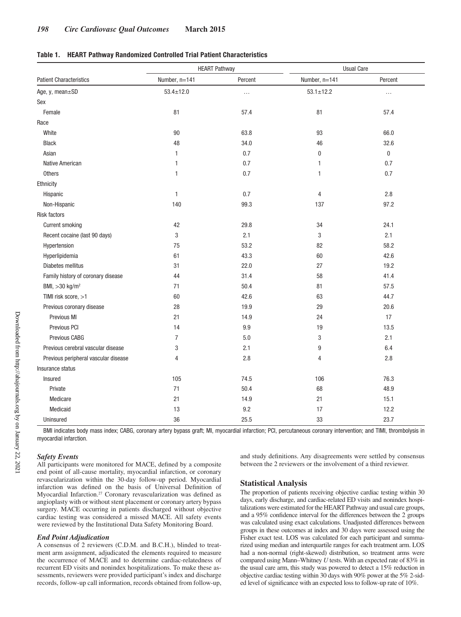| Table 1. HEART Pathway Randomized Controlled Trial Patient Characteristics |  |  |
|----------------------------------------------------------------------------|--|--|
|                                                                            |  |  |

|                                      |                 | <b>HEART Pathway</b> | <b>Usual Care</b> |             |
|--------------------------------------|-----------------|----------------------|-------------------|-------------|
| <b>Patient Characteristics</b>       | Number, n=141   | Percent              | Number, n=141     | Percent     |
| Age, y, mean±SD                      | $53.4 \pm 12.0$ | .                    | $53.1 \pm 12.2$   | .           |
| Sex                                  |                 |                      |                   |             |
| Female                               | 81              | 57.4                 | 81                | 57.4        |
| Race                                 |                 |                      |                   |             |
| White                                | $90\,$          | 63.8                 | 93                | 66.0        |
| <b>Black</b>                         | 48              | 34.0                 | 46                | 32.6        |
| Asian                                | $\mathbf{1}$    | 0.7                  | $\pmb{0}$         | $\mathbf 0$ |
| Native American                      | 1               | 0.7                  | 1                 | 0.7         |
| <b>Others</b>                        | 1               | 0.7                  | $\mathbf{1}$      | 0.7         |
| Ethnicity                            |                 |                      |                   |             |
| Hispanic                             | 1               | 0.7                  | 4                 | 2.8         |
| Non-Hispanic                         | 140             | 99.3                 | 137               | 97.2        |
| <b>Risk factors</b>                  |                 |                      |                   |             |
| <b>Current smoking</b>               | 42              | 29.8                 | 34                | 24.1        |
| Recent cocaine (last 90 days)        | 3               | 2.1                  | 3                 | 2.1         |
| Hypertension                         | 75              | 53.2                 | 82                | 58.2        |
| Hyperlipidemia                       | 61              | 43.3                 | 60                | 42.6        |
| Diabetes mellitus                    | 31              | 22.0                 | 27                | 19.2        |
| Family history of coronary disease   | 44              | 31.4                 | 58                | 41.4        |
| BMI, $>30$ kg/m <sup>2</sup>         | 71              | 50.4                 | 81                | 57.5        |
| TIMI risk score, >1                  | 60              | 42.6                 | 63                | 44.7        |
| Previous coronary disease            | 28              | 19.9                 | 29                | 20.6        |
| Previous MI                          | 21              | 14.9                 | 24                | 17          |
| Previous PCI                         | 14              | 9.9                  | 19                | 13.5        |
| Previous CABG                        | 7               | 5.0                  | 3                 | 2.1         |
| Previous cerebral vascular disease   | 3               | 2.1                  | 9                 | 6.4         |
| Previous peripheral vascular disease | $\overline{4}$  | 2.8                  | 4                 | 2.8         |
| Insurance status                     |                 |                      |                   |             |
| Insured                              | 105             | 74.5                 | 106               | 76.3        |
| Private                              | 71              | 50.4                 | 68                | 48.9        |
| Medicare                             | 21              | 14.9                 | 21                | 15.1        |
| Medicaid                             | 13              | 9.2                  | 17                | 12.2        |
| Uninsured                            | 36              | 25.5                 | 33                | 23.7        |

BMI indicates body mass index; CABG, coronary artery bypass graft; MI, myocardial infarction; PCI, percutaneous coronary intervention; and TIMI, thrombolysis in myocardial infarction.

# *Safety Events*

All participants were monitored for MACE, defined by a composite end point of all-cause mortality, myocardial infarction, or coronary revascularization within the 30-day follow-up period. Myocardial infarction was defined on the basis of Universal Definition of Myocardial Infarction.27 Coronary revascularization was defined as angioplasty with or without stent placement or coronary artery bypass surgery. MACE occurring in patients discharged without objective cardiac testing was considered a missed MACE. All safety events were reviewed by the Institutional Data Safety Monitoring Board.

#### *End Point Adjudication*

A consensus of 2 reviewers (C.D.M. and B.C.H.), blinded to treatment arm assignment, adjudicated the elements required to measure the occurrence of MACE and to determine cardiac-relatedness of recurrent ED visits and nonindex hospitalizations. To make these assessments, reviewers were provided participant's index and discharge records, follow-up call information, records obtained from follow-up,

# and study definitions. Any disagreements were settled by consensus between the 2 reviewers or the involvement of a third reviewer.

# **Statistical Analysis**

The proportion of patients receiving objective cardiac testing within 30 days, early discharge, and cardiac-related ED visits and nonindex hospitalizations were estimated for the HEART Pathway and usual care groups, and a 95% confidence interval for the differences between the 2 groups was calculated using exact calculations. Unadjusted differences between groups in these outcomes at index and 30 days were assessed using the Fisher exact test. LOS was calculated for each participant and summarized using median and interquartile ranges for each treatment arm. LOS had a non-normal (right-skewed) distribution, so treatment arms were compared using Mann–Whitney *U* tests. With an expected rate of 83% in the usual care arm, this study was powered to detect a 15% reduction in objective cardiac testing within 30 days with 90% power at the 5% 2-sided level of significance with an expected loss to follow-up rate of 10%.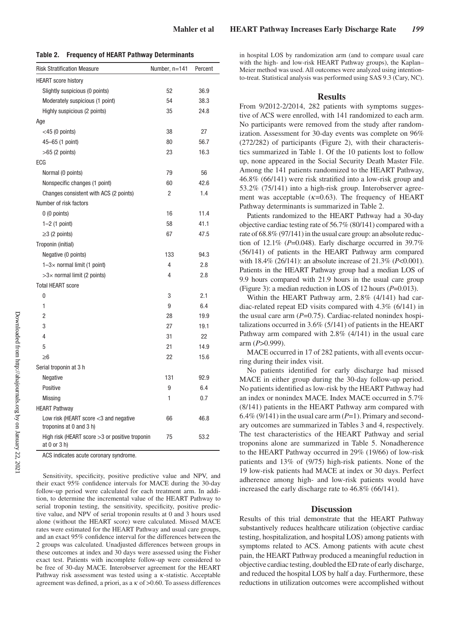| Table 2. |  | <b>Frequency of HEART Pathway Determinants</b> |
|----------|--|------------------------------------------------|
|          |  |                                                |

| <b>Risk Stratification Measure</b>                                  | Number, n=141  | Percent |
|---------------------------------------------------------------------|----------------|---------|
| <b>HEART</b> score history                                          |                |         |
| Slightly suspicious (0 points)                                      | 52             | 36.9    |
| Moderately suspicious (1 point)                                     | 54             | 38.3    |
| Highly suspicious (2 points)                                        | 35             | 24.8    |
| Age                                                                 |                |         |
| $<$ 45 (0 points)                                                   | 38             | 27      |
| 45-65 (1 point)                                                     | 80             | 56.7    |
| $>65$ (2 points)                                                    | 23             | 16.3    |
| ECG                                                                 |                |         |
| Normal (0 points)                                                   | 79             | 56      |
| Nonspecific changes (1 point)                                       | 60             | 42.6    |
| Changes consistent with ACS (2 points)                              | $\mathfrak{p}$ | 1.4     |
| Number of risk factors                                              |                |         |
| $0(0)$ points)                                                      | 16             | 11.4    |
| $1 - 2$ (1 point)                                                   | 58             | 41.1    |
| $\geq$ 3 (2 points)                                                 | 67             | 47.5    |
| Troponin (initial)                                                  |                |         |
| Negative (0 points)                                                 | 133            | 94.3    |
| $1-3\times$ normal limit (1 point)                                  | 4              | 2.8     |
| $>3\times$ normal limit (2 points)                                  | 4              | 2.8     |
| <b>Total HEART score</b>                                            |                |         |
| 0                                                                   | 3              | 2.1     |
| 1                                                                   | 9              | 6.4     |
| $\overline{c}$                                                      | 28             | 19.9    |
| 3                                                                   | 27             | 19.1    |
| 4                                                                   | 31             | 22      |
| 5                                                                   | 21             | 14.9    |
| $\geq 6$                                                            | 22             | 15.6    |
| Serial troponin at 3 h                                              |                |         |
| Negative                                                            | 131            | 92.9    |
| Positive                                                            | 9              | 6.4     |
| <b>Missing</b>                                                      | 1              | 0.7     |
| <b>HEART Pathway</b>                                                |                |         |
| Low risk (HEART score <3 and negative<br>troponins at 0 and 3 h)    | 66             | 46.8    |
| High risk (HEART score > 3 or positive troponin<br>at $0$ or $3$ h) | 75             | 53.2    |

ACS indicates acute coronary syndrome.

Sensitivity, specificity, positive predictive value and NPV, and their exact 95% confidence intervals for MACE during the 30-day follow-up period were calculated for each treatment arm. In addition, to determine the incremental value of the HEART Pathway to serial troponin testing, the sensitivity, specificity, positive predictive value, and NPV of serial troponin results at 0 and 3 hours used alone (without the HEART score) were calculated. Missed MACE rates were estimated for the HEART Pathway and usual care groups, and an exact 95% confidence interval for the differences between the 2 groups was calculated. Unadjusted differences between groups in these outcomes at index and 30 days were assessed using the Fisher exact test. Patients with incomplete follow-up were considered to be free of 30-day MACE. Interobserver agreement for the HEART Pathway risk assessment was tested using a *κ*-statistic. Acceptable agreement was defined, a priori, as a *κ* of >0.60. To assess differences in hospital LOS by randomization arm (and to compare usual care with the high- and low-risk HEART Pathway groups), the Kaplan– Meier method was used. All outcomes were analyzed using intentionto-treat. Statistical analysis was performed using SAS 9.3 (Cary, NC).

## **Results**

From 9/2012-2/2014, 282 patients with symptoms suggestive of ACS were enrolled, with 141 randomized to each arm. No participants were removed from the study after randomization. Assessment for 30-day events was complete on 96% (272/282) of participants (Figure 2), with their characteristics summarized in Table 1. Of the 10 patients lost to follow up, none appeared in the Social Security Death Master File. Among the 141 patients randomized to the HEART Pathway, 46.8% (66/141) were risk stratified into a low-risk group and 53.2% (75/141) into a high-risk group. Interobserver agreement was acceptable (*κ*=0.63). The frequency of HEART Pathway determinants is summarized in Table 2.

Patients randomized to the HEART Pathway had a 30-day objective cardiac testing rate of 56.7% (80/141) compared with a rate of 68.8% (97/141) in the usual care group: an absolute reduction of 12.1% (*P*=0.048). Early discharge occurred in 39.7% (56/141) of patients in the HEART Pathway arm compared with 18.4% (26/141): an absolute increase of 21.3% (*P*<0.001). Patients in the HEART Pathway group had a median LOS of 9.9 hours compared with 21.9 hours in the usual care group (Figure 3): a median reduction in LOS of 12 hours (*P*=0.013).

Within the HEART Pathway arm, 2.8% (4/141) had cardiac-related repeat ED visits compared with 4.3% (6/141) in the usual care arm ( $P=0.75$ ). Cardiac-related nonindex hospitalizations occurred in 3.6% (5/141) of patients in the HEART Pathway arm compared with 2.8% (4/141) in the usual care arm (*P*>0.999).

MACE occurred in 17 of 282 patients, with all events occurring during their index visit.

No patients identified for early discharge had missed MACE in either group during the 30-day follow-up period. No patients identified as low-risk by the HEART Pathway had an index or nonindex MACE. Index MACE occurred in 5.7% (8/141) patients in the HEART Pathway arm compared with  $6.4\%$  (9/141) in the usual care arm ( $P=1$ ). Primary and secondary outcomes are summarized in Tables 3 and 4, respectively. The test characteristics of the HEART Pathway and serial troponins alone are summarized in Table 5. Nonadherence to the HEART Pathway occurred in 29% (19/66) of low-risk patients and 13% of (9/75) high-risk patients. None of the 19 low-risk patients had MACE at index or 30 days. Perfect adherence among high- and low-risk patients would have increased the early discharge rate to 46.8% (66/141).

# **Discussion**

Results of this trial demonstrate that the HEART Pathway substantively reduces healthcare utilization (objective cardiac testing, hospitalization, and hospital LOS) among patients with symptoms related to ACS. Among patients with acute chest pain, the HEART Pathway produced a meaningful reduction in objective cardiac testing, doubled the ED rate of early discharge, and reduced the hospital LOS by half a day. Furthermore, these reductions in utilization outcomes were accomplished without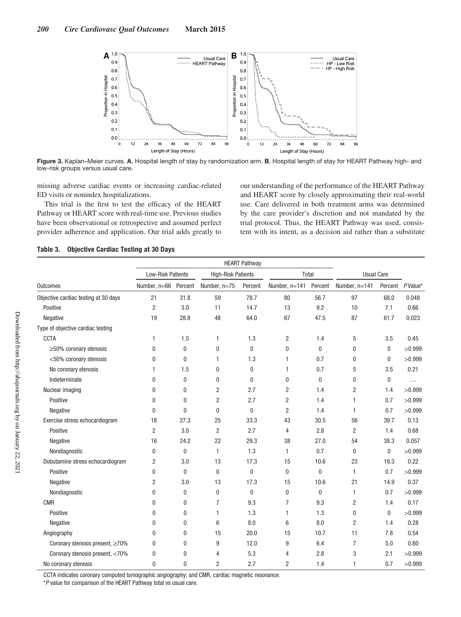

**Figure 3.** Kaplan–Meier curves. **A**, Hospital length of stay by randomization arm. **B**, Hospital length of stay for HEART Pathway high- and low-risk groups versus usual care.

missing adverse cardiac events or increasing cardiac-related ED visits or nonindex hospitalizations.

This trial is the first to test the efficacy of the HEART Pathway or HEART score with real-time use. Previous studies have been observational or retrospective and assumed perfect provider adherence and application. Our trial adds greatly to

our understanding of the performance of the HEART Pathway and HEART score by closely approximating their real-world use. Care delivered in both treatment arms was determined by the care provider's discretion and not mandated by the trial protocol. Thus, the HEART Pathway was used, consistent with its intent, as a decision aid rather than a substitute

#### **Table 3. Objective Cardiac Testing at 30 Days**

|                                      | Low-Risk Patients |              | <b>High-Risk Patients</b> |             | Total          |              | <b>Usual Care</b> |             |            |
|--------------------------------------|-------------------|--------------|---------------------------|-------------|----------------|--------------|-------------------|-------------|------------|
| <b>Outcomes</b>                      | Number, n=66      | Percent      | Number, n=75              | Percent     | Number, n=141  | Percent      | Number, n=141     | Percent     | $P$ Value* |
| Objective cardiac testing at 30 days | 21                | 31.8         | 59                        | 78.7        | 80             | 56.7         | 97                | 68.0        | 0.048      |
| Positive                             | $\overline{c}$    | 3.0          | 11                        | 14.7        | 13             | 9.2          | 10                | 7.1         | 0.66       |
| Negative                             | 19                | 28.8         | 48                        | 64.0        | 67             | 47.5         | 87                | 61.7        | 0.023      |
| Type of objective cardiac testing    |                   |              |                           |             |                |              |                   |             |            |
| <b>CCTA</b>                          | 1                 | 1.5          | 1                         | 1.3         | $\overline{2}$ | 1.4          | 5                 | 3.5         | 0.45       |
| $\geq$ 50% coronary stenosis         | 0                 | $\pmb{0}$    | $\bf{0}$                  | 0           | $\bf{0}$       | $\mathbf{0}$ | 0                 | 0           | >0.999     |
| <50% coronary stenosis               | 0                 | $\mathbf{0}$ | 1                         | 1.3         | 1              | 0.7          | 0                 | 0           | >0.999     |
| No coronary stenosis                 | 1                 | 1.5          | 0                         | $\mathbf 0$ | 1              | 0.7          | 5                 | 3.5         | 0.21       |
| Indeterminate                        | 0                 | $\mathbf{0}$ | 0                         | $\mathbf 0$ | $\mathbf{0}$   | $\mathbf{0}$ | $\mathbf 0$       | $\mathbf 0$ | $\cdots$   |
| Nuclear imaging                      | $\mathbf 0$       | $\mathbf{0}$ | $\overline{2}$            | 2.7         | $\overline{2}$ | 1.4          | $\overline{2}$    | 1.4         | >0.999     |
| Positive                             | 0                 | 0            | $\overline{2}$            | 2.7         | $\overline{2}$ | 1.4          | 1                 | 0.7         | >0.999     |
| Negative                             | 0                 | $\mathbf{0}$ | $\mathbf{0}$              | $\mathbf 0$ | $\overline{2}$ | 1.4          | 1                 | 0.7         | >0.999     |
| Exercise stress echocardiogram       | 18                | 27.3         | 25                        | 33.3        | 43             | 30.5         | 56                | 39.7        | 0.13       |
| Positive                             | $\overline{2}$    | 3.0          | $\overline{2}$            | 2.7         | 4              | 2.8          | 2                 | 1.4         | 0.68       |
| Negative                             | 16                | 24.2         | 22                        | 29.3        | 38             | 27.0         | 54                | 38.3        | 0.057      |
| Nondiagnostic                        | 0                 | 0            | 1                         | 1.3         | 1              | 0.7          | 0                 | 0           | >0.999     |
| Dobutamine stress echocardiogram     | 2                 | 3.0          | 13                        | 17.3        | 15             | 10.6         | 23                | 16.3        | 0.22       |
| Positive                             | 0                 | $\mathbf{0}$ | $\mathbf{0}$              | 0           | $\bf{0}$       | $\mathbf{0}$ | 1                 | 0.7         | >0.999     |
| Negative                             | 2                 | 3.0          | 13                        | 17.3        | 15             | 10.6         | 21                | 14.9        | 0.37       |
| Nondiagnostic                        | 0                 | 0            | 0                         | 0           | $\bf{0}$       | $\mathbf{0}$ | 1                 | 0.7         | >0.999     |
| <b>CMR</b>                           | $\mathbf{0}$      | $\mathbf{0}$ | $\overline{7}$            | 9.3         | $\overline{7}$ | 9.3          | $\overline{2}$    | 1.4         | 0.17       |
| Positive                             | 0                 | 0            | 1                         | 1.3         | 1              | 1.3          | 0                 | 0           | >0.999     |
| Negative                             | 0                 | 0            | 6                         | 8.0         | 6              | 8.0          | $\overline{2}$    | 1.4         | 0.28       |
| Angiography                          | 0                 | 0            | 15                        | 20.0        | 15             | 10.7         | 11                | 7.8         | 0.54       |
| Coronary stenosis present, ≥70%      | 0                 | 0            | 9                         | 12.0        | 9              | 6.4          | 7                 | 5.0         | 0.80       |
| Coronary stenosis present, <70%      | 0                 | 0            | 4                         | 5.3         | 4              | 2.8          | 3                 | 2.1         | >0.999     |
| No coronary stenosis                 | $\mathbf{0}$      | $\mathbf{0}$ | 2                         | 2.7         | $\overline{2}$ | 1.4          | 1                 | 0.7         | >0.999     |

CCTA indicates coronary computed tomographic angiography; and CMR, cardiac magnetic resonance.

\*P value for comparison of the HEART Pathway total vs usual care.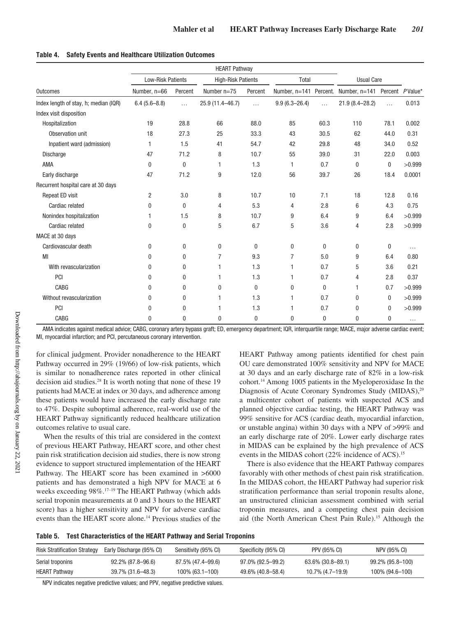|                                       | <b>HEART Pathway</b>     |              |                           |              |                   |              |                                                      |             |          |  |
|---------------------------------------|--------------------------|--------------|---------------------------|--------------|-------------------|--------------|------------------------------------------------------|-------------|----------|--|
|                                       | <b>Low-Risk Patients</b> |              | <b>High-Risk Patients</b> |              | Total             |              | <b>Usual Care</b>                                    |             |          |  |
| <b>Outcomes</b>                       | Number, n=66             | Percent      | Number $n=75$             | Percent      |                   |              | Number, n=141 Percent. Number, n=141 Percent PValue* |             |          |  |
| Index length of stay, h; median (IQR) | $6.4(5.6 - 8.8)$         | $\cdots$     | 25.9 (11.4-46.7)          | $\cdots$     | $9.9(6.3 - 26.4)$ | $\cdots$     | $21.9(8.4 - 28.2)$                                   | $\cdots$    | 0.013    |  |
| Index visit disposition               |                          |              |                           |              |                   |              |                                                      |             |          |  |
| Hospitalization                       | 19                       | 28.8         | 66                        | 88.0         | 85                | 60.3         | 110                                                  | 78.1        | 0.002    |  |
| Observation unit                      | 18                       | 27.3         | 25                        | 33.3         | 43                | 30.5         | 62                                                   | 44.0        | 0.31     |  |
| Inpatient ward (admission)            | 1                        | 1.5          | 41                        | 54.7         | 42                | 29.8         | 48                                                   | 34.0        | 0.52     |  |
| Discharge                             | 47                       | 71.2         | 8                         | 10.7         | 55                | 39.0         | 31                                                   | 22.0        | 0.003    |  |
| AMA                                   | 0                        | $\mathbf{0}$ | 1                         | 1.3          | $\mathbf{1}$      | 0.7          | 0                                                    | $\mathbf 0$ | >0.999   |  |
| Early discharge                       | 47                       | 71.2         | 9                         | 12.0         | 56                | 39.7         | 26                                                   | 18.4        | 0.0001   |  |
| Recurrent hospital care at 30 days    |                          |              |                           |              |                   |              |                                                      |             |          |  |
| Repeat ED visit                       | 2                        | 3.0          | 8                         | 10.7         | 10                | 7.1          | 18                                                   | 12.8        | 0.16     |  |
| Cardiac related                       | 0                        | 0            | 4                         | 5.3          | 4                 | 2.8          | 6                                                    | 4.3         | 0.75     |  |
| Nonindex hospitalization              | 1                        | 1.5          | 8                         | 10.7         | 9                 | 6.4          | 9                                                    | 6.4         | >0.999   |  |
| Cardiac related                       | 0                        | $\mathbf{0}$ | 5                         | 6.7          | 5                 | 3.6          | 4                                                    | 2.8         | >0.999   |  |
| MACE at 30 days                       |                          |              |                           |              |                   |              |                                                      |             |          |  |
| Cardiovascular death                  | 0                        | $\mathbf{0}$ | $\mathbf{0}$              | $\mathbf{0}$ | $\mathbf 0$       | 0            | 0                                                    | $\bf{0}$    | $\cdots$ |  |
| MI                                    | 0                        | 0            | $\overline{7}$            | 9.3          | $\overline{7}$    | 5.0          | 9                                                    | 6.4         | 0.80     |  |
| With revascularization                | 0                        | 0            | $\mathbf{1}$              | 1.3          | 1                 | 0.7          | 5                                                    | 3.6         | 0.21     |  |
| PCI                                   | 0                        | 0            | 1                         | 1.3          | 1                 | 0.7          | 4                                                    | 2.8         | 0.37     |  |
| CABG                                  | 0                        | 0            | 0                         | $\mathbf{0}$ | 0                 | $\mathbf{0}$ | 1                                                    | 0.7         | >0.999   |  |
| Without revascularization             | 0                        | 0            | 1                         | 1.3          | 1                 | 0.7          | 0                                                    | $\mathbf 0$ | >0.999   |  |
| PCI                                   | 0                        | 0            | 1                         | 1.3          | $\mathbf{1}$      | 0.7          | 0                                                    | $\mathbf 0$ | >0.999   |  |
| CABG                                  | $\mathbf{0}$             | $\mathbf{0}$ | $\mathbf{0}$              | $\bf{0}$     | $\mathbf{0}$      | $\mathbf{0}$ | 0                                                    | 0           | $\cdots$ |  |

## **Table 4. Safety Events and Healthcare Utilization Outcomes**

AMA indicates against medical advice; CABG, coronary artery bypass graft; ED, emergency department; IQR, interquartile range; MACE, major adverse cardiac event; MI, myocardial infarction; and PCI, percutaneous coronary intervention.

for clinical judgment. Provider nonadherence to the HEART Pathway occurred in 29% (19/66) of low-risk patients, which is similar to nonadherence rates reported in other clinical decision aid studies.<sup>28</sup> It is worth noting that none of these 19 patients had MACE at index or 30 days, and adherence among these patients would have increased the early discharge rate to 47%. Despite suboptimal adherence, real-world use of the HEART Pathway significantly reduced healthcare utilization outcomes relative to usual care.

When the results of this trial are considered in the context of previous HEART Pathway, HEART score, and other chest pain risk stratification decision aid studies, there is now strong evidence to support structured implementation of the HEART Pathway. The HEART score has been examined in >6000 patients and has demonstrated a high NPV for MACE at 6 weeks exceeding 98%.17–19 The HEART Pathway (which adds serial troponin measurements at 0 and 3 hours to the HEART score) has a higher sensitivity and NPV for adverse cardiac events than the HEART score alone.<sup>14</sup> Previous studies of the HEART Pathway among patients identified for chest pain OU care demonstrated 100% sensitivity and NPV for MACE at 30 days and an early discharge rate of 82% in a low-risk cohort.14 Among 1005 patients in the Myeloperoxidase In the Diagnosis of Acute Coronary Syndromes Study (MIDAS),<sup>29</sup> a multicenter cohort of patients with suspected ACS and planned objective cardiac testing, the HEART Pathway was 99% sensitive for ACS (cardiac death, myocardial infarction, or unstable angina) within 30 days with a NPV of >99% and an early discharge rate of 20%. Lower early discharge rates in MIDAS can be explained by the high prevalence of ACS events in the MIDAS cohort (22% incidence of ACS).<sup>15</sup>

There is also evidence that the HEART Pathway compares favorably with other methods of chest pain risk stratification. In the MIDAS cohort, the HEART Pathway had superior risk stratification performance than serial troponin results alone, an unstructured clinician assessment combined with serial troponin measures, and a competing chest pain decision aid (the North American Chest Pain Rule).15 Although the

| Table 5. Test Characteristics of the HEART Pathway and Serial Troponins |  |
|-------------------------------------------------------------------------|--|
|-------------------------------------------------------------------------|--|

| <b>Risk Stratification Strategy</b> | Early Discharge (95% CI) | Sensitivity (95% CI) | Specificity (95% CI) | PPV (95% CI)      | NPV (95% CI)     |
|-------------------------------------|--------------------------|----------------------|----------------------|-------------------|------------------|
| Serial troponins                    | $92.2\%$ (87.8–96.6)     | 87.5% (47.4–99.6)    | 97.0% (92.5–99.2)    | 63.6% (30.8–89.1) | 99.2% (95.8–100) |
| <b>HEART Pathway</b>                | 39.7% (31.6–48.3)        | 100% (63.1–100)      | 49.6% (40.8–58.4)    | 10.7% (4.7–19.9)  | 100% (94.6-100)  |

NPV indicates negative predictive values; and PPV, negative predictive values.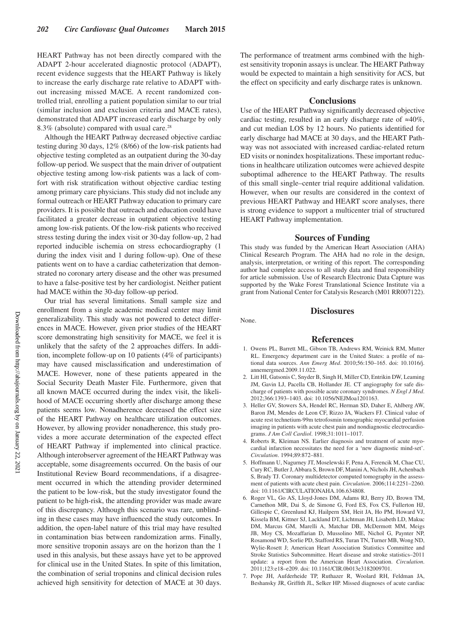HEART Pathway has not been directly compared with the ADAPT 2-hour accelerated diagnostic protocol (ADAPT), recent evidence suggests that the HEART Pathway is likely to increase the early discharge rate relative to ADAPT without increasing missed MACE. A recent randomized controlled trial, enrolling a patient population similar to our trial (similar inclusion and exclusion criteria and MACE rates), demonstrated that ADAPT increased early discharge by only 8.3% (absolute) compared with usual care.<sup>28</sup>

Although the HEART Pathway decreased objective cardiac testing during 30 days, 12% (8/66) of the low-risk patients had objective testing completed as an outpatient during the 30-day follow-up period. We suspect that the main driver of outpatient objective testing among low-risk patients was a lack of comfort with risk stratification without objective cardiac testing among primary care physicians. This study did not include any formal outreach or HEART Pathway education to primary care providers. It is possible that outreach and education could have facilitated a greater decrease in outpatient objective testing among low-risk patients. Of the low-risk patients who received stress testing during the index visit or 30-day follow-up, 2 had reported inducible ischemia on stress echocardiography (1 during the index visit and 1 during follow-up). One of these patients went on to have a cardiac catheterization that demonstrated no coronary artery disease and the other was presumed to have a false-positive test by her cardiologist. Neither patient had MACE within the 30-day follow-up period.

Our trial has several limitations. Small sample size and enrollment from a single academic medical center may limit generalizability. This study was not powered to detect differences in MACE. However, given prior studies of the HEART score demonstrating high sensitivity for MACE, we feel it is unlikely that the safety of the 2 approaches differs. In addition, incomplete follow-up on 10 patients (4% of participants) may have caused misclassification and underestimation of MACE. However, none of these patients appeared in the Social Security Death Master File. Furthermore, given that all known MACE occurred during the index visit, the likelihood of MACE occurring shortly after discharge among these patients seems low. Nonadherence decreased the effect size of the HEART Pathway on healthcare utilization outcomes. However, by allowing provider nonadherence, this study provides a more accurate determination of the expected effect of HEART Pathway if implemented into clinical practice. Although interobserver agreement of the HEART Pathway was acceptable, some disagreements occurred. On the basis of our Institutional Review Board recommendations, if a disagreement occurred in which the attending provider determined the patient to be low-risk, but the study investigator found the patient to be high-risk, the attending provider was made aware of this discrepancy. Although this scenario was rare, unblinding in these cases may have influenced the study outcomes. In addition, the open-label nature of this trial may have resulted in contamination bias between randomization arms. Finally, more sensitive troponin assays are on the horizon than the 1 used in this analysis, but these assays have yet to be approved for clinical use in the United States. In spite of this limitation, the combination of serial troponins and clinical decision rules achieved high sensitivity for detection of MACE at 30 days.

The performance of treatment arms combined with the highest sensitivity troponin assays is unclear. The HEART Pathway would be expected to maintain a high sensitivity for ACS, but the effect on specificity and early discharge rates is unknown.

## **Conclusions**

Use of the HEART Pathway significantly decreased objective cardiac testing, resulted in an early discharge rate of ≈40%, and cut median LOS by 12 hours. No patients identified for early discharge had MACE at 30 days, and the HEART Pathway was not associated with increased cardiac-related return ED visits or nonindex hospitalizations. These important reductions in healthcare utilization outcomes were achieved despite suboptimal adherence to the HEART Pathway. The results of this small single–center trial require additional validation. However, when our results are considered in the context of previous HEART Pathway and HEART score analyses, there is strong evidence to support a multicenter trial of structured HEART Pathway implementation.

# **Sources of Funding**

This study was funded by the American Heart Association (AHA) Clinical Research Program. The AHA had no role in the design, analysis, interpretation, or writing of this report. The corresponding author had complete access to all study data and final responsibility for article submission. Use of Research Electronic Data Capture was supported by the Wake Forest Translational Science Institute via a grant from National Center for Catalysis Research (M01 RR007122).

# **Disclosures**

None.

# **References**

- 1. Owens PL, Barrett ML, Gibson TB, Andrews RM, Weinick RM, Mutter RL. Emergency department care in the United States: a profile of national data sources. *Ann Emerg Med*. 2010;56:150–165. doi: 10.1016/j. annemergmed.2009.11.022.
- 2. Litt HI, Gatsonis C, Snyder B, Singh H, Miller CD, Entrikin DW, Leaming JM, Gavin LJ, Pacella CB, Hollander JE. CT angiography for safe discharge of patients with possible acute coronary syndromes. *N Engl J Med*. 2012;366:1393–1403. doi: 10.1056/NEJMoa1201163.
- 3. Heller GV, Stowers SA, Hendel RC, Herman SD, Daher E, Ahlberg AW, Baron JM, Mendes de Leon CF, Rizzo JA, Wackers FJ. Clinical value of acute rest technetium-99m tetrofosmin tomographic myocardial perfusion imaging in patients with acute chest pain and nondiagnostic electrocardiograms. *J Am Coll Cardiol*. 1998;31:1011–1017.
- 4. Roberts R, Kleiman NS. Earlier diagnosis and treatment of acute myocardial infarction necessitates the need for a 'new diagnostic mind-set'. *Circulation*. 1994;89:872–881.
- 5. Hoffmann U, Nagurney JT, Moselewski F, Pena A, Ferencik M, Chae CU, Cury RC, Butler J, Abbara S, Brown DF, Manini A, Nichols JH, Achenbach S, Brady TJ. Coronary multidetector computed tomography in the assessment of patients with acute chest pain. *Circulation*. 2006;114:2251–2260. doi: 10.1161/CIRCULATIONAHA.106.634808.
- 6. Roger VL, Go AS, Lloyd-Jones DM, Adams RJ, Berry JD, Brown TM, Carnethon MR, Dai S, de Simone G, Ford ES, Fox CS, Fullerton HJ, Gillespie C, Greenlund KJ, Hailpern SM, Heit JA, Ho PM, Howard VJ, Kissela BM, Kittner SJ, Lackland DT, Lichtman JH, Lisabeth LD, Makuc DM, Marcus GM, Marelli A, Matchar DB, McDermott MM, Meigs JB, Moy CS, Mozaffarian D, Mussolino ME, Nichol G, Paynter NP, Rosamond WD, Sorlie PD, Stafford RS, Turan TN, Turner MB, Wong ND, Wylie-Rosett J; American Heart Association Statistics Committee and Stroke Statistics Subcommittee. Heart disease and stroke statistics–2011 update: a report from the American Heart Association. *Circulation*. 2011;123:e18–e209. doi: 10.1161/CIR.0b013e3182009701.
- 7. Pope JH, Aufderheide TP, Ruthazer R, Woolard RH, Feldman JA, Beshansky JR, Griffith JL, Selker HP. Missed diagnoses of acute cardiac